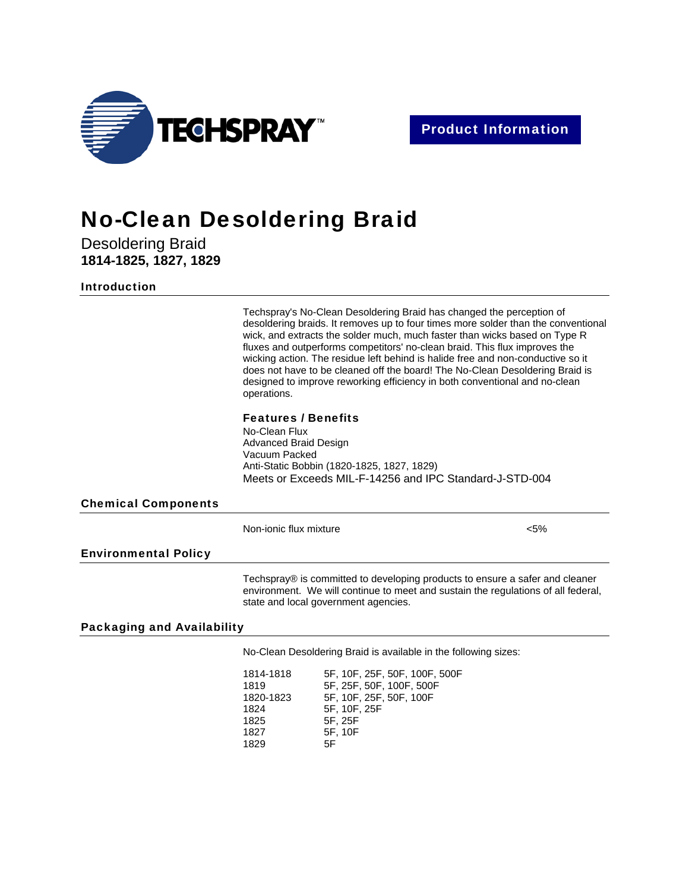

# No-Clean Desoldering Braid

Desoldering Braid **1814-1825, 1827, 1829** 

## Introduction

Techspray's No-Clean Desoldering Braid has changed the perception of desoldering braids. It removes up to four times more solder than the conventional wick, and extracts the solder much, much faster than wicks based on Type R fluxes and outperforms competitors' no-clean braid. This flux improves the wicking action. The residue left behind is halide free and non-conductive so it does not have to be cleaned off the board! The No-Clean Desoldering Braid is designed to improve reworking efficiency in both conventional and no-clean operations.

#### Features / Benefits

No-Clean Flux Advanced Braid Design Vacuum Packed Anti-Static Bobbin (1820-1825, 1827, 1829) Meets or Exceeds MIL-F-14256 and IPC Standard-J-STD-004

# Chemical Components

Non-ionic flux mixture  $\leq$ 5%

### Environmental Policy

Techspray® is committed to developing products to ensure a safer and cleaner environment. We will continue to meet and sustain the regulations of all federal, state and local government agencies.

# Packaging and Availability

No-Clean Desoldering Braid is available in the following sizes:

1814-1818 5F, 10F, 25F, 50F, 100F, 500F 1819 5F, 25F, 50F, 100F, 500F 1820-1823 5F, 10F, 25F, 50F, 100F 1824 5F, 10F, 25F 1825 5F, 25F 1827 5F, 10F 1829